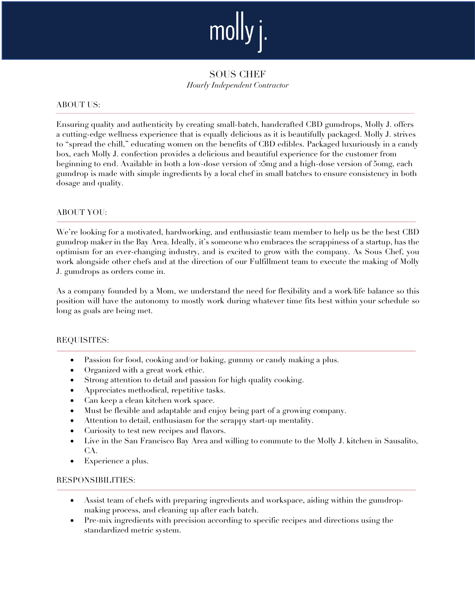

SOUS CHEF *Hourly Independent Contractor*

#### ABOUT US:

Ensuring quality and authenticity by creating small-batch, handcrafted CBD gumdrops, Molly J. offers a cutting-edge wellness experience that is equally delicious as it is beautifully packaged. Molly J. strives to "spread the chill," educating women on the benefits of CBD edibles. Packaged luxuriously in a candy box, each Molly J. confection provides a delicious and beautiful experience for the customer from beginning to end. Available in both a low-dose version of 25mg and a high-dose version of 50mg, each gumdrop is made with simple ingredients by a local chef in small batches to ensure consistency in both dosage and quality.

#### ABOUT YOU:

We're looking for a motivated, hardworking, and enthusiastic team member to help us be the best CBD gumdrop maker in the Bay Area. Ideally, it's someone who embraces the scrappiness of a startup, has the optimism for an ever-changing industry, and is excited to grow with the company. As Sous Chef, you work alongside other chefs and at the direction of our Fulfillment team to execute the making of Molly J. gumdrops as orders come in.

As a company founded by a Mom, we understand the need for flexibility and a work/life balance so this position will have the autonomy to mostly work during whatever time fits best within your schedule so long as goals are being met.

#### REQUISITES:

- Passion for food, cooking and/or baking, gummy or candy making a plus.
- Organized with a great work ethic.
- Strong attention to detail and passion for high quality cooking.
- Appreciates methodical, repetitive tasks.
- Can keep a clean kitchen work space.
- Must be flexible and adaptable and enjoy being part of a growing company.
- Attention to detail, enthusiasm for the scrappy start-up mentality.
- Curiosity to test new recipes and flavors.
- Live in the San Francisco Bay Area and willing to commute to the Molly J. kitchen in Sausalito, CA.
- Experience a plus.

#### RESPONSIBILITIES:

- Assist team of chefs with preparing ingredients and workspace, aiding within the gumdropmaking process, and cleaning up after each batch.
- Pre-mix ingredients with precision according to specific recipes and directions using the standardized metric system.